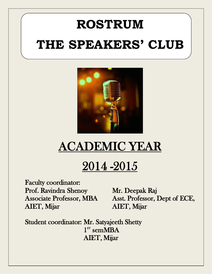# **ROSTRUM THE SPEAKERS' CLUB**



## ACADEMIC YEAR

## 2014 -2015

Faculty coordinator: Prof. Ravindra Shenoy Mr. Deepak Raj AIET, Mijar AIET, Mijar

Associate Professor, MBA Asst. Professor, Dept of ECE,

Student coordinator: Mr. Satyajeeth Shetty  $\sim$  1  $\boldsymbol{\mathrm{s}\mathrm{r}}$  semMBA AIET, Mijar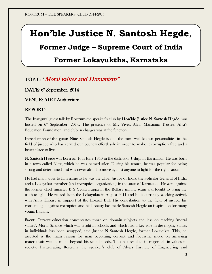### **Hon'ble Justice N. Santosh Hegde**,

### **Former Judge – Supreme Court of India**

### **Former Lokayuktha, Karnataka**

### TOPIC: "Moral values and Humanism"

DATE: 6<sup>th</sup> September, 2014

VENUE: AIET Auditorium

### REPORT:

The Inaugural guest talk by Rostrum-the speaker's club by **Hon'ble Justice N. Santosh Hegde**, was hosted on 6<sup>th</sup> September, 2014. The presence of Mr. Vivek Alva, Managing Trustee, Alva's Education Foundation, and club in charges was at the function.

Introduction of the guest: Nitte Santosh Hegde is one the most well known personalities in the field of justice who has served our country effortlessly in order to make it corruption free and a better place to live.

N. Santosh Hegde was born on 16th June 1940 in the district of Udupi in Karnataka. He was born in a town called Nitte, which he was named after. During his tenure, he was popular for being strong and determined and was never afraid to move against anyone to fight for the right cause.

He had many titles to him name as he was the Chief Justice of India, the Solicitor General of India and a Lokayukta member (anti corruption organization) in the state of Karnataka. He went against the former chief minister B S Yeddyurappa in the Bellary mining scam and fought to bring the truth to light. He retired from the Lokayukta in August 2011 and he is currently working actively with Anna Hazare in support of the Lokpal Bill. His contribution to the field of justice, his constant fight against corruption and his honesty has made Santosh Hegde an inspiration for many young Indians.

Event: Current education concentrates more on domain subjects and less on teaching 'moral values'. Moral Science which was taught in schools and which had a key role in developing values in individuals has been scrapped, said Justice N Santosh Hegde, former Lokayukta. This, he asserted is the main reason for man becoming corrupt and focussing more on amassing materialistic wealth, much beyond his stated needs. This has resulted in major fall in values in society. Inaugurating Rostrum, the speaker's club of Alva's Institute of Engineering and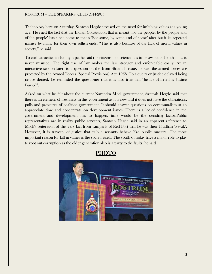Technology here on Saturday, Santosh Hegde stressed on the need for imbibing values at a young age. He rued the fact that the Indian Constitution that is meant 'for the people, by the people and of the people' has since come to mean 'For some, by some and of some' after but it its repeated misuse by many for their own selfish ends. "This is also because of the lack of moral values in society," he said.

To curb atrocities including rape, he said the citizens' conscience has to be awakened so that law is never misused. The right use of law makes the law stronger and enforceable easily. At an interactive session later, to a question on the Irom Sharmila issue, he said the armed forces are protected by the Armed Forces (Special Provisions) Act, 1958. To a query on justice delayed being justice denied, he reminded the questioner that it is also true that 'Justice Hurried is Justice Buried".

Asked on what he felt about the current Narendra Modi government, Santosh Hegde said that there is an element of freshness in this government as it is new and it does not have the obligations, pulls and pressures of coalition government. It should answer questions on communalism at an appropriate time and concentrate on development issues. There is a lot of confidence in the government and development has to happen, time would be the deciding factor.Public representatives are in reality public servants, Santosh Hegde said in an apparent reference to Modi's reiteration of this very fact from ramparts of Red Fort that he was their Pradhan 'Sevak'. However, it is travesty of justice that public servants behave like public masters. The most important reason for fall in values is the society itself. The youth of today have a major role to play to root out corruption as the older generation also is a party to the faults, he said.



PHOTO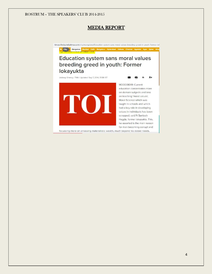### MEDIA REPORT

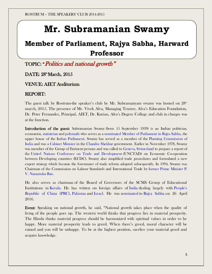### **Mr. Subramanian Swamy**

### **Member of Parliament, Rajya Sabha, Harward Professor**

TOPIC: "Politics and national growth"

### DATE: 28<sup>th</sup> March, 2015

### VENUE: AIET Auditorium

#### REPORT:

The guest talk by Rostrum-the speaker's club by Mr. Subramanyam swamy was hosted on  $28<sup>th</sup>$ march, 2015. The presence of Mr. Vivek Alva, Managing Trustee, Alva's Education Foundation, Dr. Peter Fernandes, Principal, AIET, Dr. Kurian, Alva's Degree College and club in charges was at the function.

Introduction of the guest: Subramanian Swamy (born 15 September 1939) is an Indian politician, economist, [statistician](https://en.wikipedia.org/wiki/Statistician) and [polymath](https://en.wikipedia.org/wiki/Polymath) who serves as a [nominated](https://en.wikipedia.org/wiki/List_of_nominated_members_of_the_Rajya_Sabha) [Member of Parliament in Rajya Sabha,](https://en.wikipedia.org/wiki/Member_of_Parliament,_Rajya_Sabha) the upper house of the [Indian Parliament.](https://en.wikipedia.org/wiki/Parliament_of_India) Swamy has served as a member of the [Planning Commission of](https://en.wikipedia.org/wiki/Planning_Commission_(India))  [India](https://en.wikipedia.org/wiki/Planning_Commission_(India)) and was a [Cabinet Minister](https://en.wikipedia.org/wiki/Union_Council_of_Ministers) in the [Chandra Shekhar](https://en.wikipedia.org/wiki/Chandra_Shekhar) government. Earlier in November 1978, Swamy was member of the Group of Eminent persons and was called to [Geneva,](https://en.wikipedia.org/wiki/Geneva) [Switzerland](https://en.wikipedia.org/wiki/Switzerland) to prepare a report of the [United Nations Conference on Trade and Development](https://en.wikipedia.org/wiki/United_Nations_Conference_on_Trade_and_Development) (UNCTAD) on Economic Co-operation between Developing countries (ECDC). Swamy also simplified trade procedures and formulated a new export strategy which became the forerunner of trade reform adopted subsequently. In 1994, Swamy was Chairman of the Commission on Labour Standards and International Trade by [former Prime Minister](https://en.wikipedia.org/wiki/List_of_Prime_Ministers_of_India) [P.](https://en.wikipedia.org/wiki/P._V._Narasimha_Rao)  [V. Narasimha Rao.](https://en.wikipedia.org/wiki/P._V._Narasimha_Rao)

He also serves as chairman of the Board of Governors of the SCMS Group of Educational Institutions in [Kerala.](https://en.wikipedia.org/wiki/Kerala) He has written on foreign affairs of [India](https://en.wikipedia.org/wiki/India) dealing largely with [People's](https://en.wikipedia.org/wiki/China)  [Republic of China \(PRC\),](https://en.wikipedia.org/wiki/China) [Pakistan](https://en.wikipedia.org/wiki/Pakistan) and [Israel.](https://en.wikipedia.org/wiki/Israel) He was [nominated](https://en.wikipedia.org/wiki/List_of_nominated_members_of_Rajya_Sabha) to [Rajya Sabha](https://en.wikipedia.org/wiki/Rajya_Sabha) on 26 April 2016.

Event: Speaking on national growth, he said, "National growth takes place when the quality of living of the people goes up. The western world thinks that progress lies in material prosperity. The Hindu thinks material progress should be harmonized with spiritual values in order to be happy. More material prosperity leads to greed. When there's greed, moral character will be ruined and you will be unhappy. To be at the highest position, sacrfice your material greed and acquire knowledge.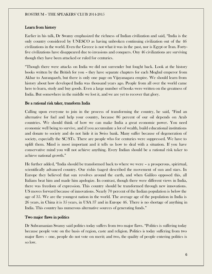#### Learn from history

Earlier in his talk, Dr Swamy emphasized the richness of Indian civilization and said, "India is the only country considered by UNESCO as having unbroken continuing civilization out of the 46 civilizations in the world. Even the Greece is not what it was in the past, nor is Egypt or Iran. Fortyfive civilizations have disappeared due to invasions and conquers. Ony 46 civilizations are surviving though they have been attacked or ruled for centuries.

"Though there were attacks on India we did not surrender but fought back. Look at the history books written by the British for you – they have separate chapters for each Moghul emperor from Akbar to Aurangazeb, but there is only one page on Vijayanagara empire. We should learn from history about how developed India was thousand years ago. People from all over the world came here to learn, study and buy goods. Even a large number of books were written on the greatness of India. But somewhere in the middle we lost it, and we are yet to recover that glory.

#### Be a rational risk taker, transform India

Calling upon everyone to join in the process of transforming the country, he said, "Find an alternative for fuel and help your country, because 86 percent of our oil depends on Arab countries. We should think of how we can make India a great economic power. You need economic well being to survive, and if you accumulate a lot of wealth, build educational institutions and donate to society and do not hide it in Swiss bank. Many suffer because of degeneration of society, especially the SC/STs. There are people who for centuries were suppressed. We have to uplift them. Mind is most important and it tells us how to deal with a situation. If you have conservative mind you will not achieve anything. Every Indian should be a rational risk taker to achieve national growth."

He further added, "India should be transformed back to where we were – a prosperous, spirirtual, scientifically advanced country. Our rishis (sages) described the movement of sun and stars. In Europe they believed that sun revolves around the earth, and when Galileo opposed this, all Italians beat him and made him apologize. In contrast, though there were different views in India, there was freedom of expression. This country should be transformed through new innovations. US moves forward because of innovations. Nearly 70 percent of the Indian population is below the age of 35. We are the youngest nation in the world. The average age of the population in India is 26 years, in China it is 35 years, in USA 37 and in Europe 46. There is no shortage of anything in India. This country has numerous alternative sources of generating funds."

#### Two major flaws in politics

Dr Subramanian Swamy said politics today suffers from two major flaws. "Politics is suffering today because people vote on the basis of region, caste and religion. Politics is today suffering from two major flaws – one, people do not vote on merit; and two, the quality of people entering politics is so low.